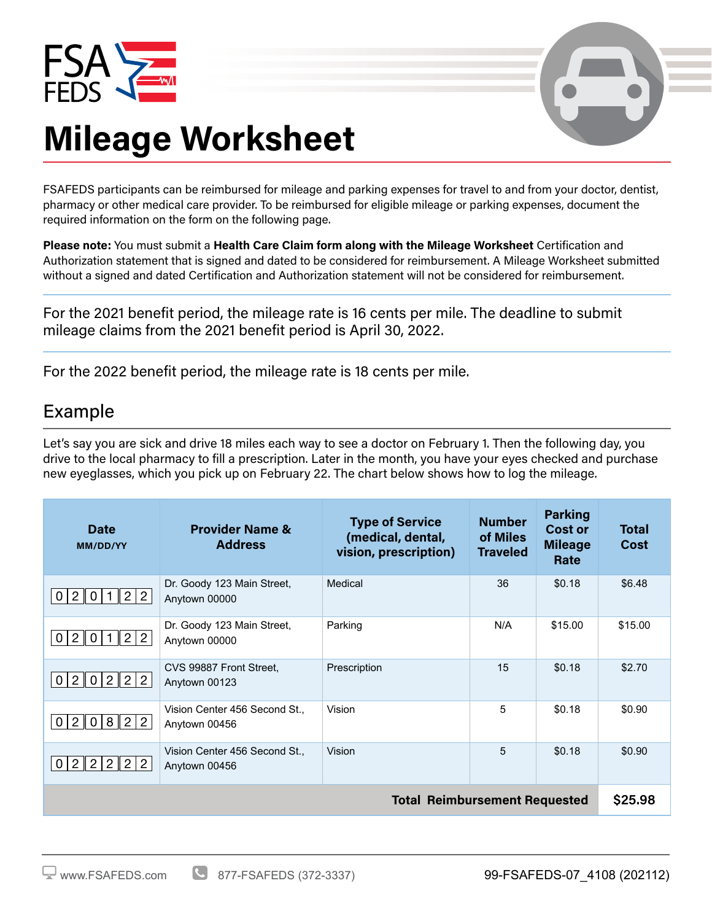



## **Mileage Worksheet**

FSAFEDS participants can be reimbursed for mileage and parking expenses for travel to and from your doctor, dentist, pharmacy or other medical care provider. To be reimbursed for eligible mileage or parking expenses, document the required information on the form on the following page.

**Please note:** You must submit a **Health Care Claim form along with the Mileage Worksheet** Certification and Authorization statement that is signed and dated to be considered for reimbursement. A Mileage Worksheet submitted without a signed and dated Certification and Authorization statement will not be considered for reimbursement.

For the 2021 benefit period, the mileage rate is 16 cents per mile. The deadline to submit mileage claims from the 2021 benefit period is April 30, 2022.

For the 2022 benefit period, the mileage rate is 18 cents per mile.

## Example

Let's say you are sick and drive 18 miles each way to see a doctor on February 1. Then the following day, you drive to the local pharmacy to fill a prescription. Later in the month, you have your eyes checked and purchase new eyeglasses, which you pick up on February 22. The chart below shows how to log the mileage.

| Date<br>MM/DD/YY                                                                      | <b>Provider Name &amp;</b><br><b>Address</b>   | <b>Type of Service</b><br>(medical, dental,<br>vision, prescription) | <b>Number</b><br>of Miles<br><b>Traveled</b> | <b>Parking</b><br><b>Cost or</b><br><b>Mileage</b><br>Rate | <b>Total</b><br><b>Cost</b> |  |
|---------------------------------------------------------------------------------------|------------------------------------------------|----------------------------------------------------------------------|----------------------------------------------|------------------------------------------------------------|-----------------------------|--|
| 2<br>0<br>$\overline{2}$<br>$\overline{2}$<br>$\overline{0}$                          | Dr. Goody 123 Main Street,<br>Anytown 00000    | Medical                                                              | 36                                           | \$0.18                                                     | \$6.48                      |  |
| $\overline{2}$<br>$\overline{2}$<br>$2 \parallel$<br>0<br>$\overline{0}$<br>1         | Dr. Goody 123 Main Street,<br>Anytown 00000    | Parking                                                              | N/A                                          | \$15.00                                                    | \$15.00                     |  |
| $\overline{2}$<br>$\vert$ 2<br>$2 \parallel$<br>$\overline{2}$<br>0<br>$\mathbf 0$    | CVS 99887 Front Street.<br>Anytown 00123       | Prescription                                                         | 15                                           | \$0.18                                                     | \$2.70                      |  |
| 8<br>$\overline{2}$<br>$\overline{2}$<br>2 <sup>1</sup><br>$\mathbf 0$<br>$\mathbf 0$ | Vision Center 456 Second St.,<br>Anytown 00456 | Vision                                                               | 5                                            | \$0.18                                                     | \$0.90                      |  |
| 2 2 <br>$\overline{2}$<br>$\overline{2}$<br>$\overline{2}$<br> 0                      | Vision Center 456 Second St.,<br>Anytown 00456 | Vision                                                               | 5                                            | \$0.18                                                     | \$0.90                      |  |
| <b>Total Reimbursement Requested</b>                                                  |                                                |                                                                      |                                              |                                                            |                             |  |